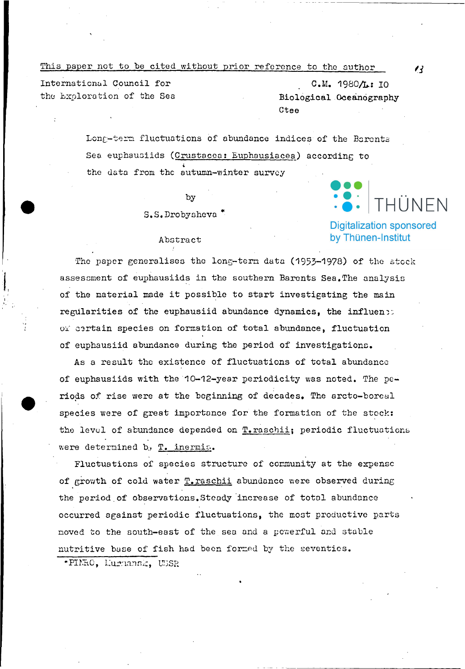This paper not to be cited without prior reference to the author

International Council for the Exploration of the Sea

С.М. 1980/1: 10 Biological Oceanography Ctee

Long-term fluctuations of abundance indices of the Barents Sea euphausiids (Crustacea: Euphausiacea) according to the data from the autumn-winter survey

by

S.S.Drobysheva

## Abstract

The paper generalises the long-tern data (1953-1978) of the stock assessment of euphausiids in the southern Barents Sea. The analysis of the material made it possible to start investigating the main regularities of the euphausiid abundance dynamics, the influen: or certain species on formation of total abundance, fluctuation of euphausiid abundance during the period of investigations.

As a result the existence of fluctuations of total abundance of euphausiids with the 10-12-year periodicity was noted. The periods of rise were at the beginning of decades. The arcto-boreal species were of great importance for the formation of the stock: the level of abundance depended on T. raschii; periodic fluctuations were determined b, T. inermis.

Fluctuations of species structure of community at the expense of growth of cold water T. raschii abundance were observed during the period of observations. Steady increase of total abundance occurred against periodic fluctuations, the most productive parts moved to the south-east of the sea and a powerful and stable nutritive base of fish had been formed by the seventies. \*PINRO, Liurnansk, USSR

 $\prime$ 

HÜNFN<sup>.</sup>

**Digitalization sponsored** by Thünen-Institut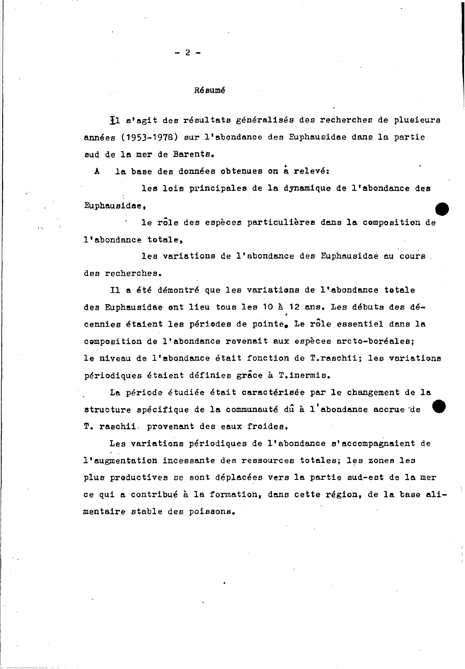### Résumé

- 2 -

il s'agit des resultats generalises des recherehes de plusieura annees (1953-1978) sur l'abondance des Euphausidae dans la partie sud de 1a mer de Barenta.

la base des données obtenues on a relevé:

les lois principales de la dynamique de l'abondance des Euphauaidae,

le *rale* des eapeces particulieree dans la composition de • l'abondance totale,

les variations de l'abondance des Euphausidae au cours des recherehes.

11 a ete demontre que les variations de l'abondance totale des Euphausidae ont lieu tous les 10 à 12 ans. Les débuts des décennies étaient les périodes de pointe. Le rôle essentiel dans la composition de l'abondance revenait aux espèces arcto-boréales; le niveau de l'abondanee etait fonetion de T.raschii; les variations periodiques etaient definies grace a T.inermis.

La période étudiée était caractérisée par le changement de la structure spécifique de la communauté dû à l'abondance accrue de T. raschii. provenant des eaux froides.

Les variations périodiques de l'abondance s'accompagnaient de l'augmentation incessante des ressourees totales; les zonea les plus productives se sont deplaeees vers la partie sud-est de 18 mer ce qui a contribué à la formation, dans cette région, de la base alimentaire stable des poieaona.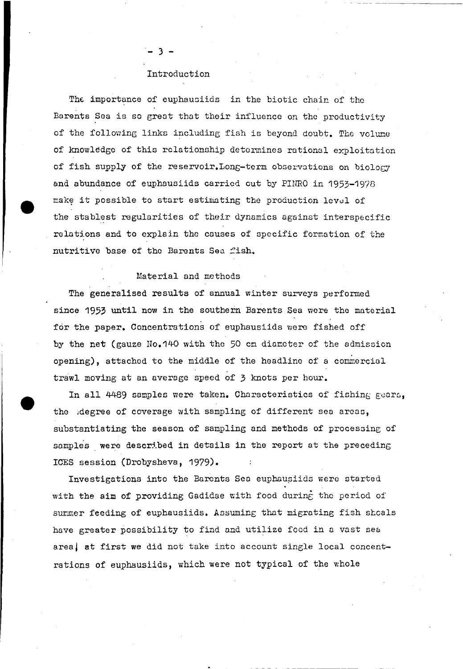#### Introduction

- 3 -

The importance of euphausiids in the biotic chain of the Barents Sea is so great that their influence on the productivity of the following links including fish is beyond doubt. The volume of knowledge of this relationship determines rational exploitation of fish supply of the reservoir. Long-term observations on biology end abundance of euphausiids carricd out by PIHRO in 1953-1978 make it possible to start estimating the production level of the stablest regularities of their dynamics against interspecific relations end to cxplain thc causes of spccific formation of the nutritive base of the Barents Sea fish.

# Material and methods

•

The generalised results of annual winter surveys performed since 1953 until now in the southern Barents Sea were the material for the paper. Concentrations of euphausiids were fished off by the net (gauze No.140 with the 50 cm diameter of the admission epening), attached to the middle of the headline of a commercial trawl moving at an average speed of 3 knots per hour.

In all 4489 samples were taken. Characteristics of fishing gears, the degree of coverage with sampling of different sea areas, substantiating the season of sampling and methods of processing of samples were described in details in the report at the preceding ICES session (Drobysheva, 1979).

Investigations into the Barents Sea euphaupiids werc started with the aim of providing Gadidae with food during the period of summer feeding of euphausiids. Assuming that migrating fish shoals have greater possibility to find and utilize food in a vast sea area, at first we did not take into account single local concentrations of euphausiids, which were not typical of the whole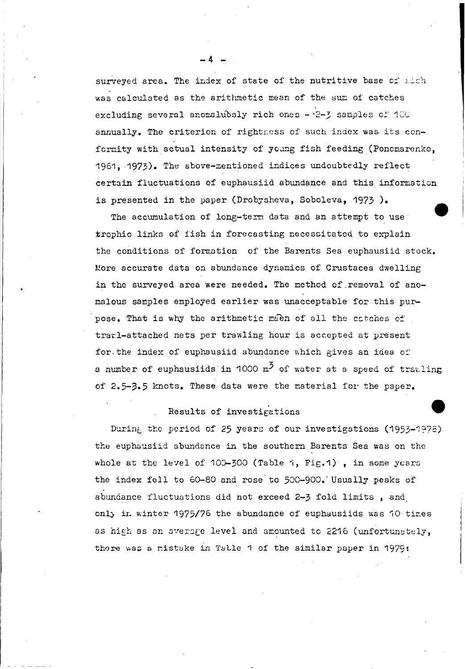surveyed area. The index of state of the nutritive base of iich was calculated as the arithmetic mean of the sum of catches excluding several anomalubsly rich ones - 2-3 samples of 100 annually. The criterion of rightness of such index was its conformity with actual intensity of young fish feeding (Ponomarenko, 1961. 1973). The above-mentioned indices undoubtedly reflect certain fluctuations of euphausiid abundance and this information is presented in the paper (Drobysheva, Soboleva, 1973).

The accumulation of long-term data and an attempt to use trophic links of fish in forecasting necessitated to explain the conditions of formation of the Barents Sea euphausiid stock. More accurate data on abundance dynamics of Crustacea dwelling in the surveyed area were needed. The method of removal of anomalous samples employed earlier was unacceptable for this purpose. That is why the arithmetic maen of all the catches of traml-attached nets per trawling hour is accepted at present for the index of euphausiid abundance which gives an idea of a number of euphauslids in 1000  $m^2$  of water at a speed of trawling of 2.5-3.5 knots. These data were the material for the paper.

# Results of investigations

During the period of 25 years of our investigations (1953-1978) the euphausiid abundance in the southern Barents Sea was on the whole at the level of 100-300 (Table 1, Fig.1), in some years the index fell to 60-80 and rose to 500-900. Usually peaks of abundance fluctuations did not exceed 2-3 fold limits, and only in winter 1975/76 the abundance of euphausiids was 10 tires as high as an average level and amounted to 2216 (unfortunately, there was a mistake in Table 1 of the similar paper in 1979: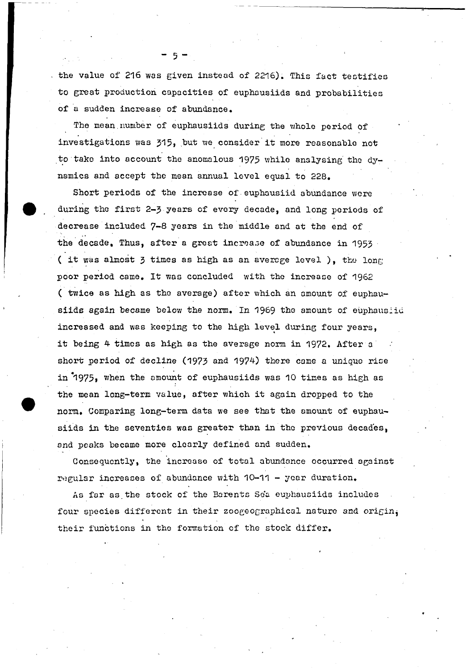the value of 216 was given instead of 2216). This fact testifies to great production capacities of euphausiids and probabilities of a sudden increase of abundance.

5

The mean number of euphausiids during the whole period of investigations was 315, but we consider it more reasonable not to take into account the anomalous 1975 while analysing the dynamics and accept the mean annual level equal to 228.

Short periods of the increase of euphausiid abundance were during the first 2-3 years of every decade, and long periods of decrease included 7-8 years in the middle and at the end of the decade, Thus, after a great increase of abundance in 1953 (it was almost 3 times as high as an average level ), the long poor period came. It was concluded with the increase of 1962 ( twice as high as the average) after which an amount of euphausiids again became below the norm. In 1969 the amount of euphausiid increased and was keeping to the high level during four years, it being 4 times as high as the average norm in 1972. After a short period of decline (1973 and 1974) there came a unique rise in 1975, when the amount of euphausiids was 10 times as high as the mean long-term value, after which it again dropped to the norm. Comparing long-term data we see that the amount of euphausiids in the seventies was greater than in the previous decades, and peaks became more clearly defined and sudden.

Consequently, the increase of total abundance occurred against regular increases of abundance with 10-11 - year duration.

As far as the stock of the Barents Sea euphausiids includes four species different in their zoogeographical nature and origin, their functions in the formation of the stock differ.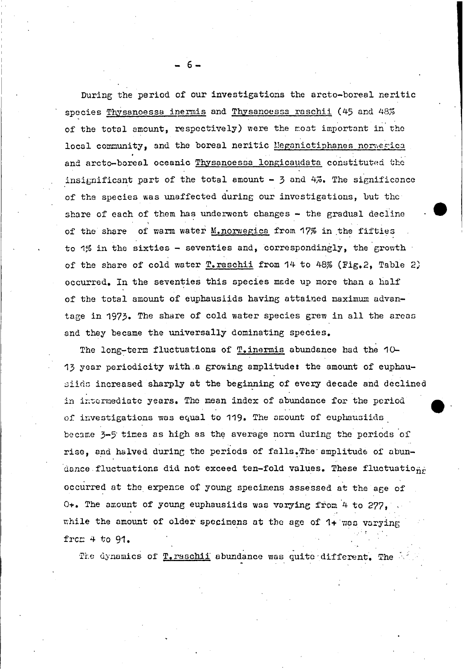During the period of our investigations the arcto-boreal neritic species Thysanoessa inermis and Thysanoessa raschii (45 and 48% of the total amount, respectively) were the most important in the local community, and the boreal neritic Meganictiphanes normegica and arcto-boreal oceanic Thysanoessa longicaudata constituted the insignificant part of the total amount -  $\frac{1}{2}$  and  $4\%$ . The significance of the species was unaffected during our investigations, but the share of each of them has underwent changes - the gradual decline of the share of warm water M, norwegica from 17% in the fifties to 1% in the sixtles - seventies and, correspondingly, the growth of the share of cold water T. raschii from 14 to 48% (Fig. 2, Table 2) occurred. In the seventies this species made up more than a half of the total amount of euphausiids having attained maximum advantage in 1973. The share of cold water species grew in all the areas and they became the universally dominating species.

The long-term fluctuations of T, inermis abundance had the 10-13 year periodicity with a growing amplitude: the amount of euphausiids increased sharply at the beginning of every decade and declined in intermediate years. The mean index of abundance for the period of investigations was equal to 119. The amount of euphausiids became 3-5 times as high as the average norm during the periods of rise, and halved during the periods of falls. The amplitude of abundance fluctuations did not exceed ten-fold values. These fluctuations occurred at the expense of young specimens assessed at the age of 0+. The amount of young euphausiids was varying from 4 to 277, while the amount of older specimens at the age of 1+ was varying from  $4$  to  $91.$ 

The dynamics of T. raschii abundance was quite different. The

 $6.$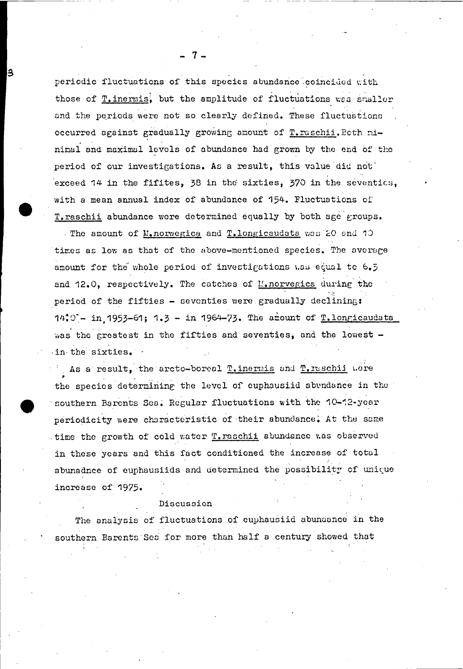periodic fluctuations of this species abundance coincided with those of T. inermis, but the amplitude of fluctuations was snaller and the periods were not so clearly defined. These fluctuations occurred against gradually growing amount of T. raschii. Ecth minimal and maximal levels of abundance had grown by the end of the period of our investigations. As a result, this value did not exceed 14 in the fifites, 38 in the sixties, 370 in the seventics, with a mean annual index of abundance of 154. Fluctuations of T. raschii abundance were determined equally by both age groups.

3

The amount of M. norwegics and T. longicaudata was 20 and 10 times as low as that of the above-mentioned species. The averare amount for the whole period of investigations was equal to 6.5 and 12.0, respectively. The catches of M. norvegica during the period of the fifties - seventies were gradually declining: 14:0'- in 1953-61; 1.3 - in 1964-73. The arount of T.longicaudata was the greatest in the fifties and seventies, and the lowest in the sixties.

As a result, the arcto-boreal Tinermis and Tiraschii were the species determining the level of euphausiid abundance in the southern Barents Sea. Regular fluctuations with the 10-12-year periodicity were characteristic of their abundance. At the same time the growth of cold water T. raschii abundance was observed in these years and this fact conditioned the increase of total abunadnce of euphausiids and determined the possibility of unique increase of 1975.

## Discussion

The analysis of fluctuations of euphausiid abundance in the southern Barents Sea for more than half a century showed that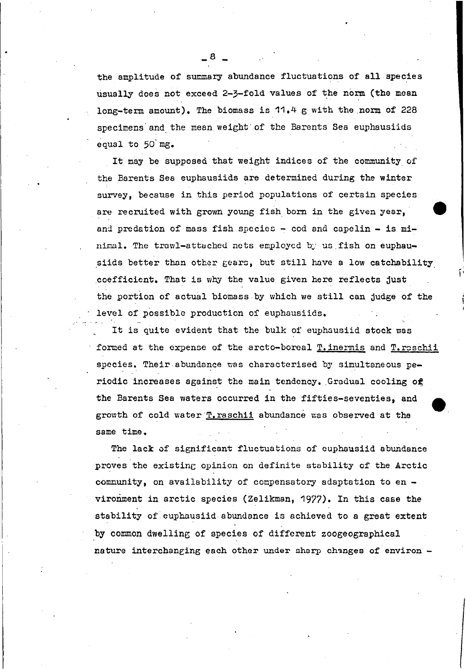the amplitude of summary abundance fluctuations of all species usually does not exceed 2-3-fold values of the norm (the mean long-term amount). The biomass is  $11.4$  g with the norm of 228 specimens'and,the meen weight'of the Barents Sea euphausiids equal to 50-mg.

It may be supposed that weight indices of the community of the Barents Sea euphausiids are determined during the winter survey, because in this period populations of certain species are recruited with grown young fish born in the given year, and predation of mass fish species - cod and capelin - is mihimal. The trawl-attached nets employed by us fish on euphausiids better than other gears, but still have a low catchability ,coefficient. That 1s why the value given here reflects just the portion of actual biomass by which we still can judge of the level of possiblc production of euphausiids.

It is quite evident that the bulk of euphausiid stock was formed at the expense of the arcto-boreal T. inermis and T. raschii species. Their abundance was characterised by simultaneous periodic increases against the main tendency. Gradual cooling of the Barents Sea waters occurred in the fifties-seventies, and growth of cold water T. raschii abundance was observed at the same time.

The lack of significant fluctuations of cuphausiid abundance proves the existing opinion on definite stability of the Arctic community, on availability of compensatory adaptation to  $en$ vironment in arctic species (Zelikman, 1977). In this ease the stability of euphausiid abundance is achieved to a great extent by common dwelling of species of different zoogeographical nature interchanging each other under sharp changes of environ -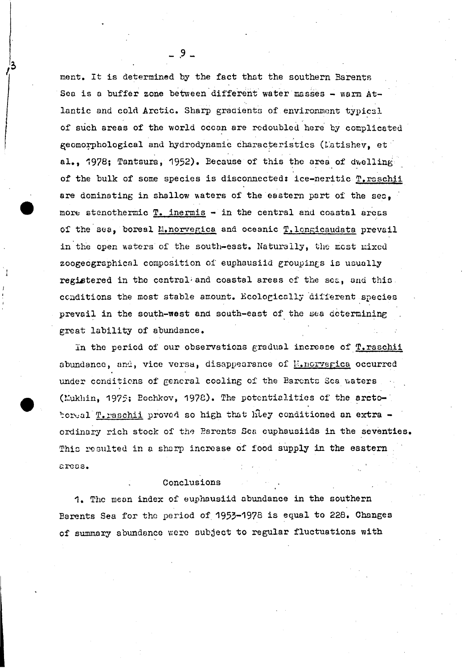ment. It is determined by the fact that the southern Barents Sea is a buffer zone between different water masses - warm Atlantic and cold Arctic. Sharp gradients of environment typical of such areas of the world occan are redoubled here by complicated geomorphological and hydrodynamic characteristics (Latishev, et al., 1978; Tantsura, 1952). Because of this the area of dwelling of the bulk of some species is disconnected: ice-neritic T. raschii are dominating in shallow waters of the eastern part of the sec. more stenothermic T. inermis - in the central and coastal areas of the sea. boreal M. norvegica and oceanic T. longicaudata prevail in the open waters of the south-east. Naturally, the most mixed zoogeographical composition of euphausiid groupings is usually registered in the central and coastal areas of the sea, and this. conditions the most stable amount. Ecologically different species prevail in the south-west and south-east of the sea determining great lability of abundance.

In the period of our observations gradual increase of T. raschii abundance, and, vice versa, disappearance of M.norvegica occurred under conditions of general cooling of the Barents Sca waters (Mukhin, 1975; Bochkov, 1978). The potentialities of the arctoboreal T. raschii proved so high that hiey conditioned an extra ordinary rich stock of the Parents Sea cuphausiids in the seventies. This resulted in a sharp increase of food supply in the eastern areas.

### Conclusions

1. The mean index of euphausiid abundance in the southern Barents Sea for the period of 1953-1978 is equal to 228. Changes of summary abundance were subject to regular fluctuations with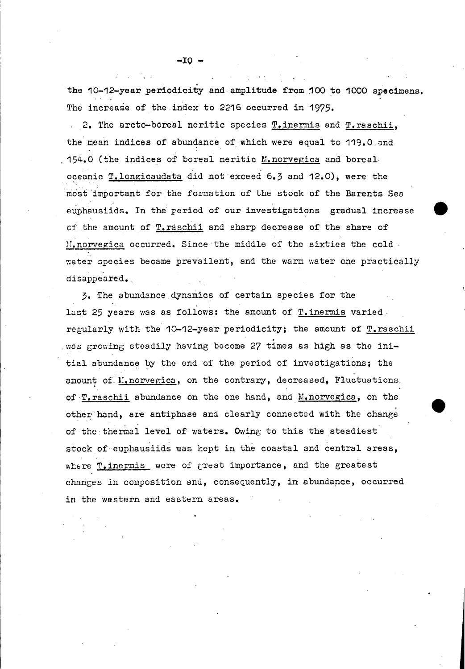the 1o-12-year periodicity end amplitude from 100 to 1000 specimens. The increase of the index to 2216 occurred in 1975.

2. The arcto-boreal neritic species T.inermis and T.raschii, the mean indices of abundance of which were equal to 119.0 and . 154.0 (the indices of boreal neritic M.norvegica and boreal oceanic T.longicaudata did not exceed 6.3 and 12.0), were the most'important for thc formation of the stock of the Barents Sen euphausiids. In the period of our investigations gradual increase cf .thc amount of T.raschii and sharp decrease of the share of  $\text{N.}$  norvegica occurred. Since the middle of the sixties the cold, ~ater species became prevailcnt, and thc warm water one practically disappeared.

3. The abundance dynamics of certain species for the last 25 years was as follows: the amount of T. inermis varied. regularly with the 10-12-year periodicity; the amount of T.raschii was growing steadily having become 27 times as high as the initial abundance by the end of the period of investigations; the amount of M.norvegica, on the contrary, decreased, Fluctuations, of T. raschii abundance on the one hand, and M. norvegica, on the other hand, are antiphase and clearly connected with the change of the thermal level of waters. Owing to this the steadiest stock of euphausiids was kept in the coastal and central areas, where T. inermis wcre of great importance, and the greatest changes in composition and, consequently, in abundance, occurred in the western and eastern areas.

**-IO -**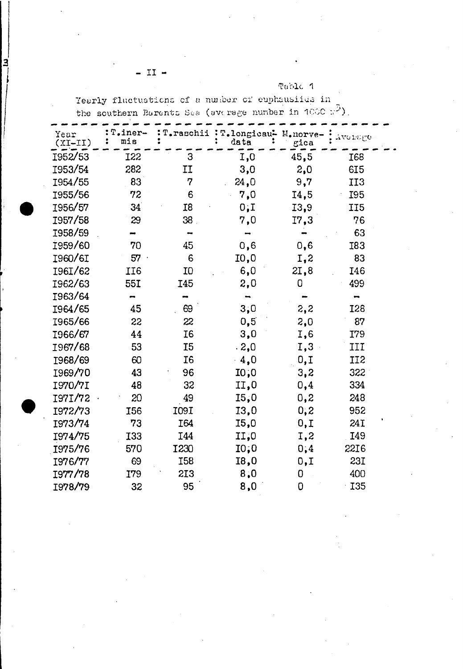|  | Table |  |
|--|-------|--|
|  |       |  |

Yearly fluctuations of a number of euphausiids in the southern Earents Sea (average number in  $1000 \times^3$ ).

| Year<br>$(TI-TX)$ | T.iner-<br>mis |                | T.raschii : T.longicau- M.norve-<br>data | gica | Avoisige        |
|-------------------|----------------|----------------|------------------------------------------|------|-----------------|
| 1952/53           | I22            | 3              | I,0                                      | 45,5 | <b>I68</b>      |
| 1953/54           | 282            | IJ             | 3,0                                      | 2,0  | <b>615</b>      |
| 1954/55           | 83             | 7              | 24,0                                     | 9,7  | II <sub>3</sub> |
| 1955/56           | 72             | 6              | 7,0                                      | I4,5 | I95             |
| 1956/57           | 34             | I8             | 0, I                                     | 13,9 | II <sub>5</sub> |
| 1957/58           | 29             | 38             | 7,0                                      | I7,3 | 76              |
| I958/59           |                |                |                                          |      | 63              |
| 1959/60           | 70             | 45             | 0,6                                      | 0,6  | I83             |
| I960/6I           | 57             | 6              | I0,0                                     | I,2  | 83              |
| I96I/62           | II6            | I0             | 6,0                                      | 2I,8 | <b>I46</b>      |
| I962/63           | 55I            | I45            | 2,0                                      | 0    | 499             |
| I963/64           |                |                |                                          |      |                 |
| I964/65           | 45             | 69             | 3,0                                      | 2,2  | I28             |
| I965/66           | 22             | 22             | 0,5                                      | 2,0  | 87              |
| I966/67           | 44             | <b>I6</b>      | 3,0                                      | I,6  | I79             |
| 1967/68           | 53             | I <sub>5</sub> | .2,0                                     | I,3  | III             |
| I968/69           | 60             | I <sub>6</sub> | 4,0                                      | 0, I | II <sub>2</sub> |
| 1969/70           | 43             | 96             | 10,0                                     | 3,2  | 322             |
| I970/7I           | 48             | 32             | II,0                                     | 0,4  | 334             |
| I97I/72           | 20             | 49             | 15,0                                     | 0,2  | 248             |
| I972/73           | I56            | I09I           | 13,0                                     | 0, 2 | 952             |
| 1973/74           | 73             | I64            | I5,0                                     | 0,1  | 24I             |
| 1974/75           | <b>I33</b>     | I44            | II,0                                     | I,2  | I49             |
| 1975/76           | 570            | <b>I230</b>    | 10,0                                     | 0,4  | 2216            |
| 1976/77           | 69             | <b>I58</b>     | 18,0                                     | 0, I | 23I             |
| I977/78           | I79            | 213            | 8,0                                      | 0    | 400             |
| I978/79           | 32             | 95             | 8,0                                      | 0    | I35             |

 $II -$ 

3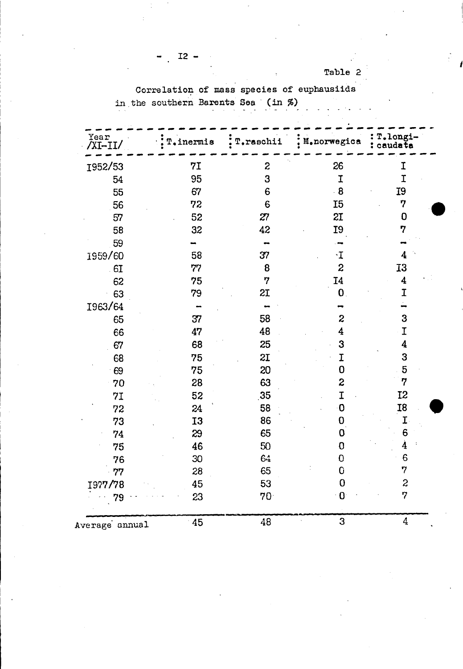Table 2

Correlation of mass species of euphausiids in the southern Barents Sea (in  $%$ )

| Year<br>/XI-II/ | T.inermis | T.raschii        | : M. norwegica          | T.longi-<br>caudata |
|-----------------|-----------|------------------|-------------------------|---------------------|
| 1952/53         | 7I        | $\boldsymbol{z}$ | 26                      | I                   |
| 54              | 95        | 3                | I                       | I                   |
| 55              | 67        | $6\phantom{1}6$  | $\cdot$ 8               | I9                  |
| 56              | 72        | 6                | I <sub>5</sub>          | 7                   |
| 57              | 52        | 27               | 2I                      | $\mathbf 0$         |
| 58              | 32        | 42               | £5                      | 7                   |
| 59              |           |                  |                         |                     |
| 1959/60         | 58        | 37               | $\cdot \mathbf{I}$      | 4                   |
| 6I              | 77        | 8                | $\boldsymbol{z}$        | <b>I3</b>           |
| 62              | 75        | 7                | I <sub>4</sub>          | 4                   |
| 63              | 79        | 2I               | $\mathbf 0$ .           | I                   |
| 1963/64         |           |                  |                         |                     |
| 65              | 37        | 58               | $\boldsymbol{z}$        | 3                   |
| 66              | 47        | 48               | 4                       | I                   |
| 67              | 68        | 25               | 3                       | 4                   |
| 68              | 75        | 2I               | I                       | 3                   |
| 69              | 75        | 20               | $\overline{0}$          | 5                   |
| 70              | 28        | 63               | $\overline{\mathbf{c}}$ | $\boldsymbol{7}$    |
| 71              | 52        | 35               | I                       | I <sub>2</sub>      |
| 72              | 24        | 58               | $\mathbf 0$             | I8                  |
| 73              | <b>I3</b> | 86               | 0                       | $\mathbf I$         |
| 74              | 29        | 65               | 0                       | 6                   |
| 75              | 46        | 50               | 0                       | $\dot{4}$           |
| 76              | 30        | 64               | $\overline{O}$          | 6                   |
| 77              | 28        | 65               | $\overline{0}$          | 7                   |
| 1977/78         | 45        | 53               | $\overline{0}$          | $\boldsymbol{z}$    |
| 79              | 23        | 70 <sup>1</sup>  | $\bf{0}$                | 7                   |
| Average annual  | 45        | 48               | 3                       | $\overline{4}$      |

 $\overline{\phantom{0}}$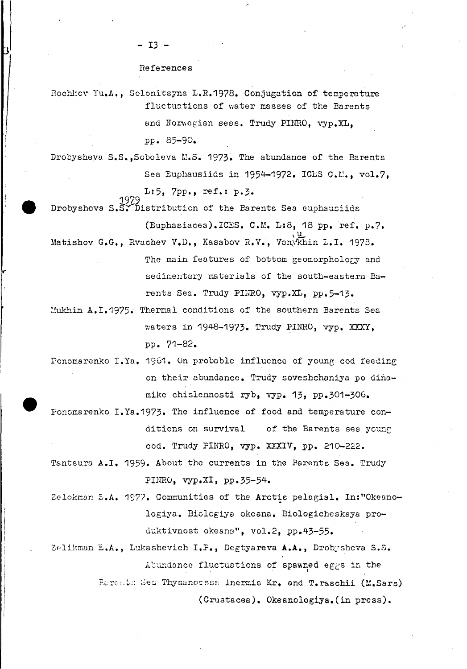References

- 13 -

Rochlov Yu.A., Solonitsyna L.R.1978. Conjugation of temperature fluctuations of water masses of the Barents and Norwegian seas. Trudy PINRO, vyp.XL, pp. 85-90.

Drobysheva S.S., Soboleva M.S. 1973. The abundance of the Barents Sea Euphausiids in 1954-1972. ICES C.M., vol.7,

L:5, 7pp., ref.: p.3.

Drobysheva S.S. Distribution of the Barents Sea euphausiids

(Euphasiacea). ICES. C.M. L:8, 18 pp. ref. p.7. Matishov G.G., Rvachev V.D., Kasabov R.V., Vanykhin L.I. 1978. The main features of bottom geomorphology and

sedimentary materials of the south-eastern Barents Sea. Trudy PINRO, vyp.XL, pp.5-13.

- Mukhin A.I.1975. Thermal conditions of the southern Barents Sea waters in 1948-1973. Trudy PINRO, vyp. XXXY, pp. 71-82.
- Ponomarenko I.Ya, 1961. On probable influence of young cod feeding on their abundance. Trudy soveshchaniya po dinamike chislennosti ryb, vyp. 13, pp.301-306.
- Ponomarenko I.Ya.1973. The influence of food and temperature conditions on survival of the Barents sea young cod. Trudy PINRO, vyp. XXXIV, pp. 210-222.
- Tantsura A.I. 1959. About the currents in the Barents Sea. Trudy PINRO, vyp.XI, pp.35-54.
- Zelokman E.A. 1977. Communities of the Arctic pelagial. In:"Okeanologiya. Biclogiya okeana. Biologicheskaya produktivnost okeana", vol.2, pp.43-55.

Zelikman E.A., Lukashevich I.P., Degtyareva A.A., Drobysheva S.S. Abundance fluctuations of spawned eggs in the

Barents Sea Thysancessa inermis Kr. and T. raschii (M.Sars)

(Crustacea). Okeanologiya. (in press).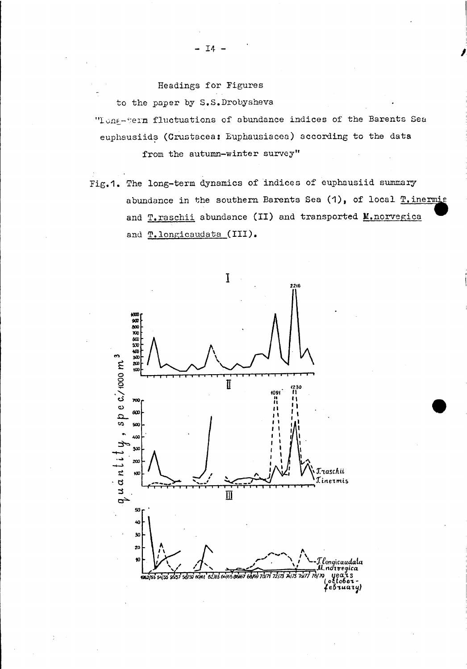Headings for Figures

to the paper by S.S.Drobysheva

"Long-term fluctuations of abundance indices of the Barents Sea euphausiids (Crustacea: Euphausiacea) according to the data

from the autumn-winter survey"

Fig.1. The long-term dynamics of indices of euphausiid summary abundance in the southern Barents Sea (1), of local T. inermis and T. raschii abundance (II) and transported M. norvegica and T.longicaudata (III).